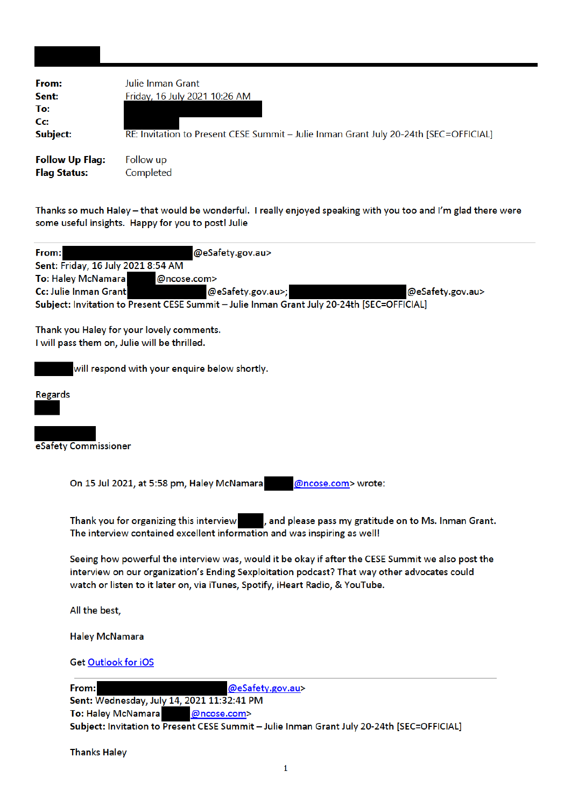| From:                  | Julie Inman Grant                                                                     |
|------------------------|---------------------------------------------------------------------------------------|
| Sent:                  | Friday, 16 July 2021 10:26 AM                                                         |
| To:                    |                                                                                       |
| Cc:                    |                                                                                       |
| Subject:               | RE: Invitation to Present CESE Summit - Julie Inman Grant July 20-24th [SEC=OFFICIAL] |
| <b>Follow Up Flag:</b> | Follow up                                                                             |
| <b>Flag Status:</b>    | Completed                                                                             |

Thanks so much Haley - that would be wonderful. I really enjoyed speaking with you too and I'm glad there were some useful insights. Happy for you to post! Julie

| @eSafety.gov.au><br>From:<br>Sent: Friday, 16 July 2021 8:54 AM                                                                                                               |
|-------------------------------------------------------------------------------------------------------------------------------------------------------------------------------|
| To: Haley McNamara<br>@ncose.com>                                                                                                                                             |
| Cc: Julie Inman Grant<br>@eSafety.gov.au>;<br>@eSafety.gov.au>                                                                                                                |
| Subject: Invitation to Present CESE Summit - Julie Inman Grant July 20-24th [SEC=OFFICIAL]                                                                                    |
| Thank you Haley for your lovely comments.<br>I will pass them on, Julie will be thrilled.                                                                                     |
| will respond with your enquire below shortly.                                                                                                                                 |
| <b>Regards</b>                                                                                                                                                                |
|                                                                                                                                                                               |
| eSafety Commissioner                                                                                                                                                          |
|                                                                                                                                                                               |
| On 15 Jul 2021, at 5:58 pm, Haley McNamara<br>@ncose.com> wrote:                                                                                                              |
|                                                                                                                                                                               |
| Thank you for organizing this interview<br>, and please pass my gratitude on to Ms. Inman Grant.<br>The interview contained excellent information and was inspiring as well!  |
| Seeing how powerful the interview was, would it be okay if after the CESE Summit we also post the                                                                             |
| interview on our organization's Ending Sexploitation podcast? That way other advocates could<br>watch or listen to it later on, via iTunes, Spotify, iHeart Radio, & YouTube. |
| All the best,                                                                                                                                                                 |
| <b>Haley McNamara</b>                                                                                                                                                         |
| Get Outlook for iOS                                                                                                                                                           |
| From:<br>@eSafety.gov.au>                                                                                                                                                     |
| Sent: Wednesday, July 14, 2021 11:32:41 PM                                                                                                                                    |
| To: Haley McNamara<br>@ncose.com>                                                                                                                                             |
| Subject: Invitation to Present CESE Summit - Julie Inman Grant July 20-24th [SEC=OFFICIAL]                                                                                    |

**Thanks Haley**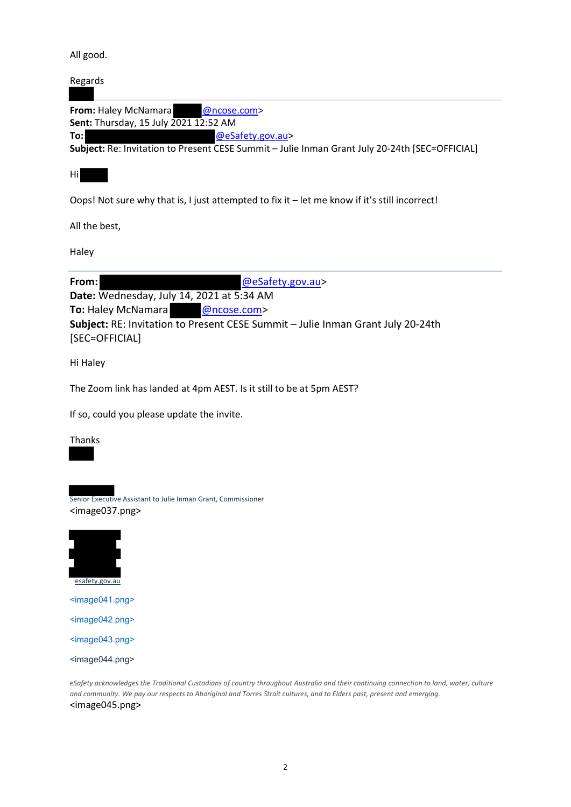#### All good.

| Regards                                 |                                                                                                |
|-----------------------------------------|------------------------------------------------------------------------------------------------|
| <b>From:</b> Haley McNamara @ncose.com> |                                                                                                |
| Sent: Thursday, 15 July 2021 12:52 AM   |                                                                                                |
| To:l                                    | @eSafety.gov.au>                                                                               |
|                                         | Subject: Re: Invitation to Present CESE Summit - Julie Inman Grant July 20-24th [SEC=OFFICIAL] |

Hi

Oops! Not sure why that is, I just attempted to fix it – let me know if it's still incorrect!

All the best,

Haley

**From:** @eSafety.gov.au> **Date:** Wednesday, July 14, 2021 at 5:34 AM **To:** Haley McNamara @ncose.com> **Subject:** RE: Invitation to Present CESE Summit – Julie Inman Grant July 20‐24th [SEC=OFFICIAL]

Hi Haley

The Zoom link has landed at 4pm AEST. Is it still to be at 5pm AEST?

If so, could you please update the invite.

Thanks



<image043.png>

<image044.png>

eSafety acknowledges the Traditional Custodians of country throughout Australia and their continuing connection to land, water, culture and community. We pay our respects to Aboriginal and Torres Strait cultures, and to Elders past, present and emerging. <image045.png>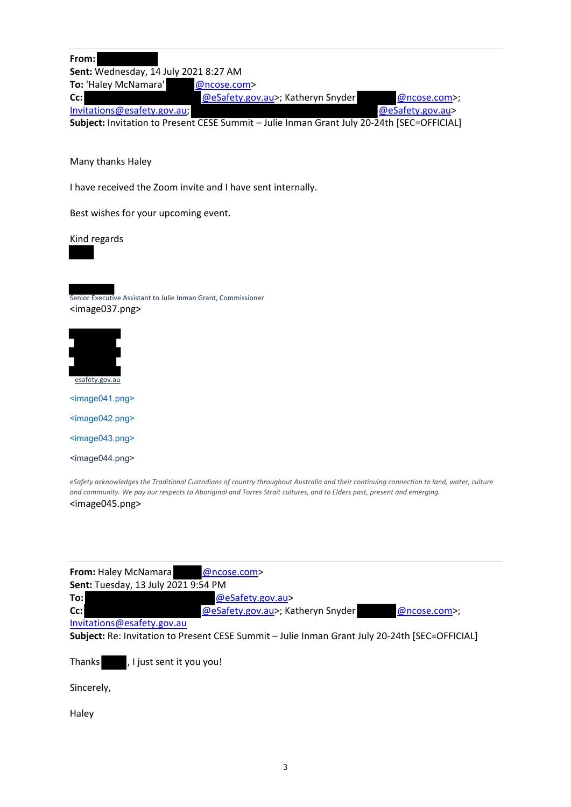**From: Sent:** Wednesday, 14 July 2021 8:27 AM To: 'Haley McNamara' **@ncose.com>** Cc: **CC:** @eSafety.gov.au>; Katheryn Snyder @ncose.com>; Invitations@esafety.gov.au; @eSafety.gov.au> **Subject:** Invitation to Present CESE Summit – Julie Inman Grant July 20‐24th [SEC=OFFICIAL]

Many thanks Haley

I have received the Zoom invite and I have sent internally.

Best wishes for your upcoming event.

Kind regards

Senior Executive Assistant to Julie Inman Grant, Commissioner <image037.png>



<image041.png>

<image042.png>

<image043.png>

<image044.png>

eSafety acknowledges the Traditional Custodians of country throughout Australia and their continuing connection to land, water, culture and community. We pay our respects to Aboriginal and Torres Strait cultures, and to Elders past, present and emerging. <image045.png>

| From: Haley McNamara                | @ncose.com>                                                                                    |                |
|-------------------------------------|------------------------------------------------------------------------------------------------|----------------|
| Sent: Tuesday, 13 July 2021 9:54 PM |                                                                                                |                |
| To:l                                | @eSafety.gov.au>                                                                               |                |
| cc:                                 | @eSafety.gov.au>; Katheryn Snyder                                                              | $@ncose.com$ ; |
| Invitations@esafety.gov.au          |                                                                                                |                |
|                                     | Subject: Re: Invitation to Present CESE Summit - Julie Inman Grant July 20-24th [SEC=OFFICIAL] |                |
|                                     |                                                                                                |                |

Thanks , I just sent it you you!

Sincerely,

Haley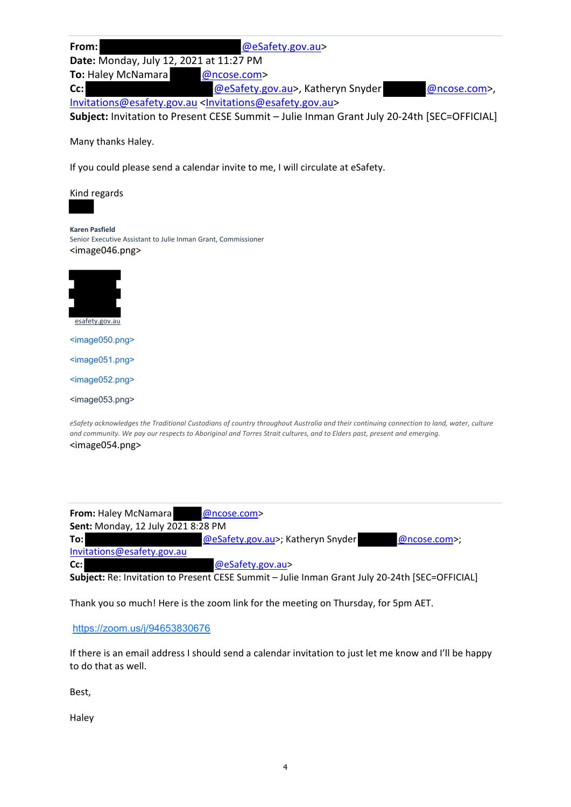| From:                                   | @eSafety.gov.au>                                                                     |              |
|-----------------------------------------|--------------------------------------------------------------------------------------|--------------|
| Date: Monday, July 12, 2021 at 11:27 PM |                                                                                      |              |
| <b>To: Haley McNamara</b>               | @ncose.com>                                                                          |              |
| $Cc$ :                                  | @eSafety.gov.au>, Katheryn Snyder                                                    | @ncose.com>, |
|                                         | Invitations@esafety.gov.au <invitations@esafety.gov.au></invitations@esafety.gov.au> |              |

**Subject:** Invitation to Present CESE Summit – Julie Inman Grant July 20‐24th [SEC=OFFICIAL]

Many thanks Haley.

If you could please send a calendar invite to me, I will circulate at eSafety.

Kind regards

**Karen Pasfield** Senior Executive Assistant to Julie Inman Grant, Commissioner <image046.png>



<image050.png> <image051.png> <image052.png> <image053.png>

eSafety acknowledges the Traditional Custodians of country throughout Australia and their continuing connection to land, water, culture and community. We pay our respects to Aboriginal and Torres Strait cultures, and to Elders past, present and emerging. <image054.png>

| <b>From: Haley McNamara</b>        | @ncose.com>                                                                                    |
|------------------------------------|------------------------------------------------------------------------------------------------|
| Sent: Monday, 12 July 2021 8:28 PM |                                                                                                |
| To:                                | @eSafety.gov.au>; Katheryn Snyder<br>@ncose.com>;                                              |
| Invitations@esafety.gov.au         |                                                                                                |
| Cc:                                | @eSafety.gov.au>                                                                               |
|                                    | Subject: Re: Invitation to Present CESE Summit - Julie Inman Grant July 20-24th [SEC=OFFICIAL] |

Thank you so much! Here is the zoom link for the meeting on Thursday, for 5pm AET.

https://zoom.us/j/94653830676

If there is an email address I should send a calendar invitation to just let me know and I'll be happy to do that as well.

Best,

Haley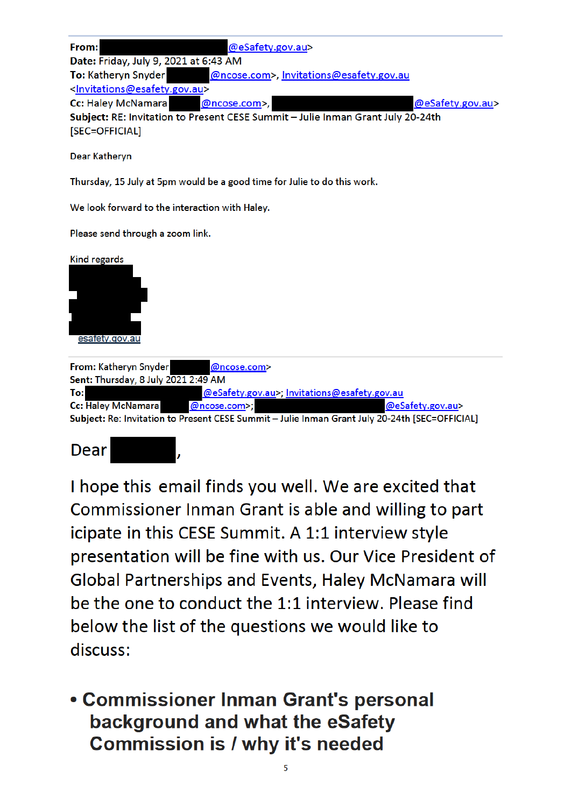| From:                                                     | @eSafety.gov.au>                                                                |                  |
|-----------------------------------------------------------|---------------------------------------------------------------------------------|------------------|
| Date: Friday, July 9, 2021 at 6:43 AM                     |                                                                                 |                  |
| <b>To: Katheryn Snyder</b>                                | @ncose.com>, Invitations@esafety.gov.au                                         |                  |
| <invitations@esafety.gov.au></invitations@esafety.gov.au> |                                                                                 |                  |
| Cc: Haley McNamara @ncose.com>,                           |                                                                                 | @eSafety.gov.au> |
|                                                           | Subject: RE: Invitation to Present CESE Summit - Julie Inman Grant July 20-24th |                  |
| [SEC=OFFICIAL]                                            |                                                                                 |                  |

**Dear Kathervn** 

Thursday, 15 July at 5pm would be a good time for Julie to do this work.

We look forward to the interaction with Haley.

Please send through a zoom link.



Dear

I hope this email finds you well. We are excited that Commissioner Inman Grant is able and willing to part icipate in this CESE Summit. A 1:1 interview style presentation will be fine with us. Our Vice President of Global Partnerships and Events, Haley McNamara will be the one to conduct the 1:1 interview. Please find below the list of the questions we would like to discuss:

**• Commissioner Inman Grant's personal** background and what the eSafety **Commission is / why it's needed**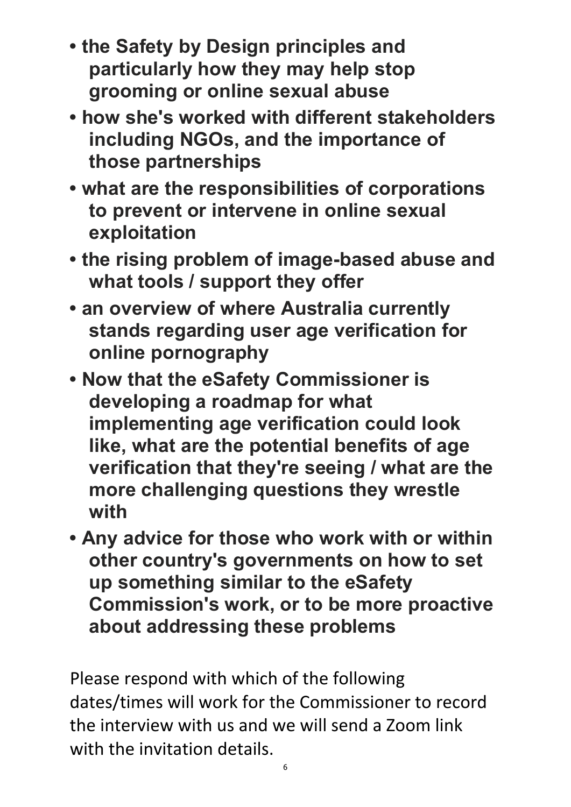- **the Safety by Design principles and particularly how they may help stop grooming or online sexual abuse**
- **how she's worked with different stakeholders including NGOs, and the importance of those partnerships**
- **what are the responsibilities of corporations to prevent or intervene in online sexual exploitation**
- **the rising problem of image-based abuse and what tools / support they offer**
- **an overview of where Australia currently stands regarding user age verification for online pornography**
- **Now that the eSafety Commissioner is developing a roadmap for what implementing age verification could look like, what are the potential benefits of age verification that they're seeing / what are the more challenging questions they wrestle with**
- **Any advice for those who work with or within other country's governments on how to set up something similar to the eSafety Commission's work, or to be more proactive about addressing these problems**

Please respond with which of the following dates/times will work for the Commissioner to record the interview with us and we will send a Zoom link with the invitation details.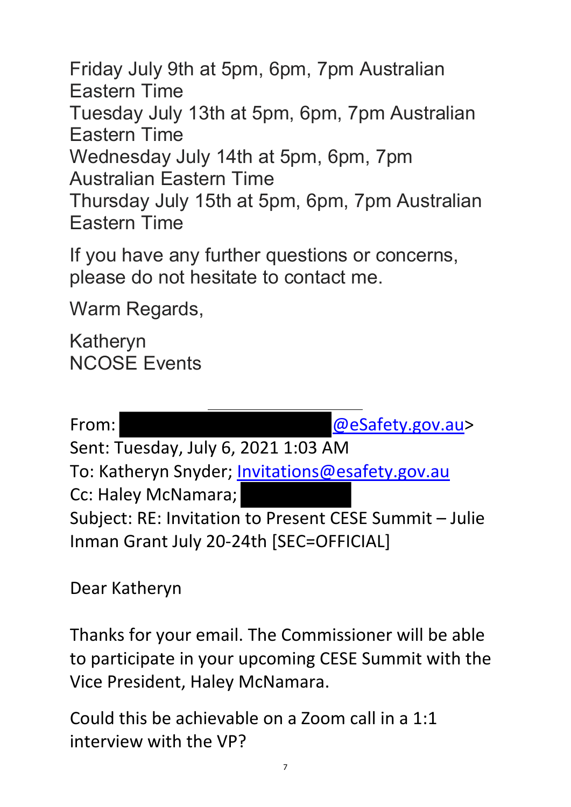Friday July 9th at 5pm, 6pm, 7pm Australian Eastern Time Tuesday July 13th at 5pm, 6pm, 7pm Australian Eastern Time Wednesday July 14th at 5pm, 6pm, 7pm Australian Eastern Time Thursday July 15th at 5pm, 6pm, 7pm Australian Eastern Time

If you have any further questions or concerns, please do not hesitate to contact me.

Warm Regards,

Katheryn NCOSE Events

From:  $@$ eSafety.gov.au> Sent: Tuesday, July 6, 2021 1:03 AM To: Katheryn Snyder; Invitations@esafety.gov.au Cc: Haley McNamara; Subject: RE: Invitation to Present CESE Summit – Julie Inman Grant July 20‐24th [SEC=OFFICIAL]

Dear Katheryn

Thanks for your email. The Commissioner will be able to participate in your upcoming CESE Summit with the Vice President, Haley McNamara.

Could this be achievable on a Zoom call in a 1:1 interview with the VP?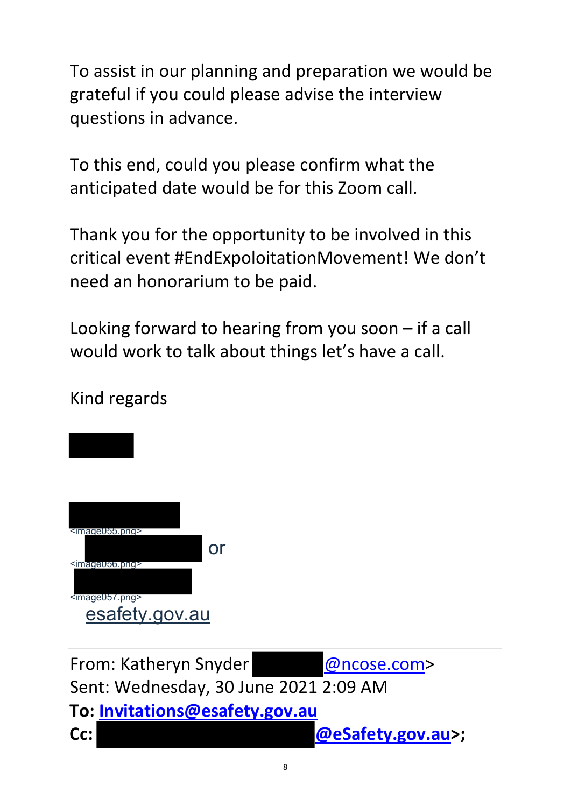To assist in our planning and preparation we would be grateful if you could please advise the interview questions in advance.

To this end, could you please confirm what the anticipated date would be for this Zoom call.

Thank you for the opportunity to be involved in this critical event #EndExpoloitationMovement! We don't need an honorarium to be paid.

Looking forward to hearing from you soon – if a call would work to talk about things let's have a call.

8 <image055.png> or <image056.png> <image057.png> esafety.gov.au From: Katheryn Snyder @ncose.com> Sent: Wednesday, 30 June 2021 2:09 AM **To: Invitations@esafety.gov.au Cc: @eSafety.gov.au>;**

#### Kind regards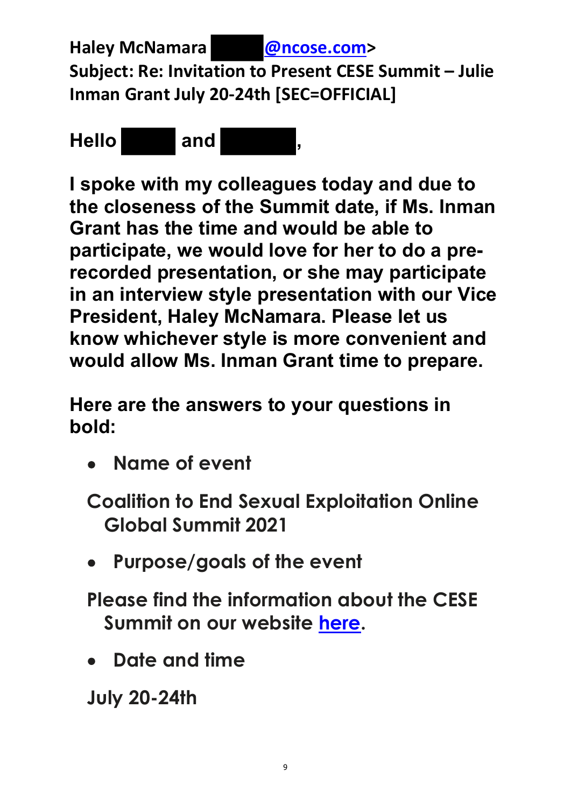**Haley McNamara @ncose.com> Subject: Re: Invitation to Present CESE Summit – Julie Inman Grant July 20‐24th [SEC=OFFICIAL]**



**I spoke with my colleagues today and due to the closeness of the Summit date, if Ms. Inman Grant has the time and would be able to participate, we would love for her to do a prerecorded presentation, or she may participate in an interview style presentation with our Vice President, Haley McNamara. Please let us know whichever style is more convenient and would allow Ms. Inman Grant time to prepare.** 

**Here are the answers to your questions in bold:** 

 **Name of event**

**Coalition to End Sexual Exploitation Online Global Summit 2021** 

 **Purpose/goals of the event**

**Please find the information about the CESE Summit on our website here.**

 **Date and time**

**July 20-24th**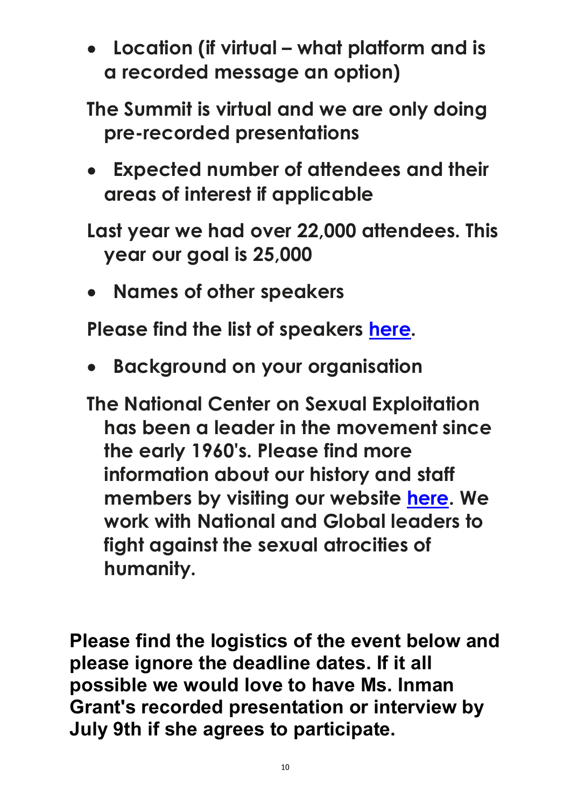**Location (if virtual – what platform and is a recorded message an option)**

**The Summit is virtual and we are only doing pre-recorded presentations**

 **Expected number of attendees and their areas of interest if applicable**

**Last year we had over 22,000 attendees. This year our goal is 25,000**

 **Names of other speakers**

**Please find the list of speakers here.** 

 **Background on your organisation** 

**The National Center on Sexual Exploitation has been a leader in the movement since the early 1960's. Please find more information about our history and staff members by visiting our website here. We work with National and Global leaders to fight against the sexual atrocities of humanity.** 

**Please find the logistics of the event below and please ignore the deadline dates. If it all possible we would love to have Ms. Inman Grant's recorded presentation or interview by July 9th if she agrees to participate.**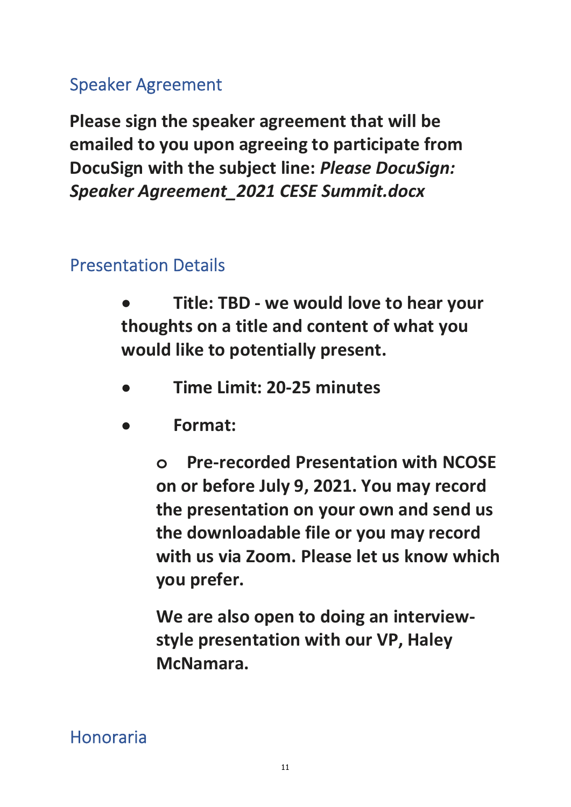# Speaker Agreement

**Please sign the speaker agreement that will be emailed to you upon agreeing to participate from DocuSign with the subject line:** *Please DocuSign: Speaker Agreement\_2021 CESE Summit.docx*

### Presentation Details

- **Title: TBD ‐ we would love to hear your thoughts on a title and content of what you would like to potentially present.**
- **Time Limit: 20‐25 minutes**
- **Format:**

**o Pre‐recorded Presentation with NCOSE on or before July 9, 2021. You may record the presentation on your own and send us the downloadable file or you may record with us via Zoom. Please let us know which you prefer.** 

**We are also open to doing an interview‐ style presentation with our VP, Haley McNamara.** 

# Honoraria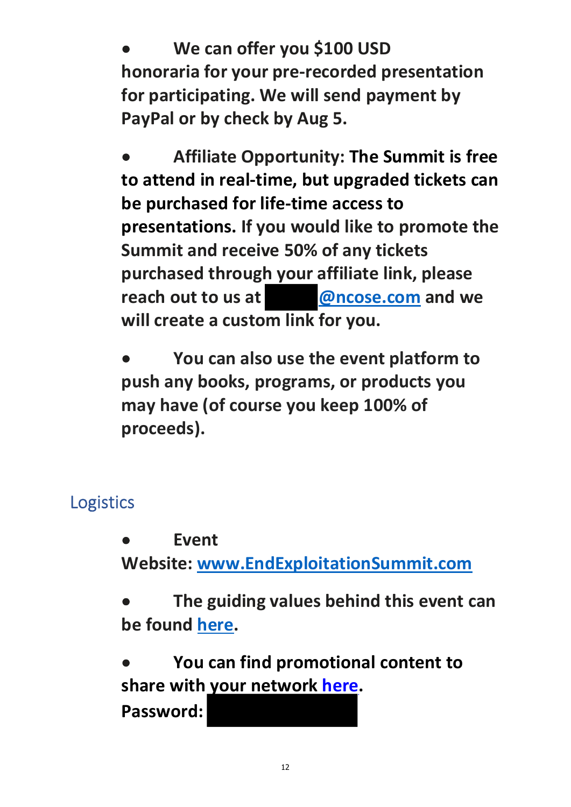**We can offer you \$100 USD honoraria for your pre‐recorded presentation for participating. We will send payment by PayPal or by check by Aug 5.** 

 **Affiliate Opportunity: The Summit is free to attend in real‐time, but upgraded tickets can be purchased for life‐time access to presentations. If you would like to promote the Summit and receive 50% of any tickets purchased through your affiliate link, please reach out to us at @ncose.com and we will create a custom link for you.** 

 **You can also use the event platform to push any books, programs, or products you may have (of course you keep 100% of proceeds).**

# Logistics

 **Event Website: www.EndExploitationSummit.com** 

 **The guiding values behind this event can be found here.** 

 **You can find promotional content to share with your network here.**

**Password:**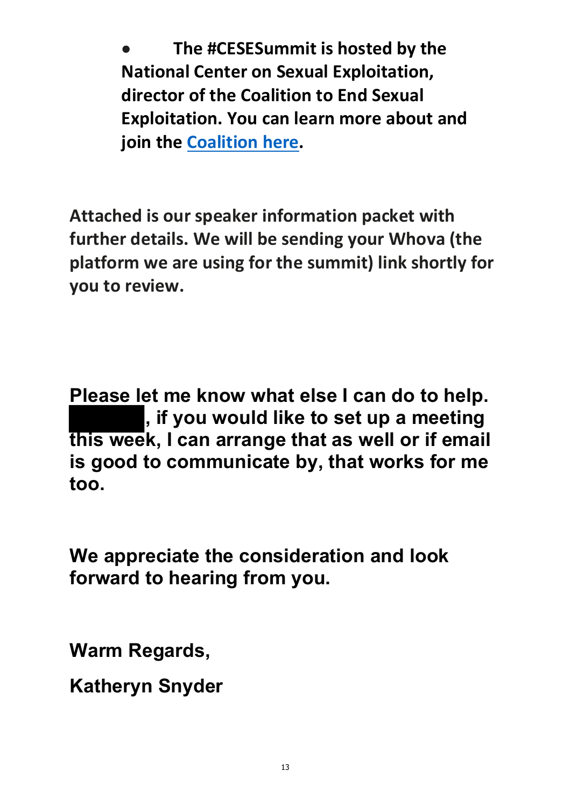**The #CESESummit is hosted by the National Center on Sexual Exploitation, director of the Coalition to End Sexual Exploitation. You can learn more about and join the Coalition here.**

**Attached is our speaker information packet with further details. We will be sending your Whova (the platform we are using for the summit) link shortly for you to review.** 

**Please let me know what else I can do to help. , if you would like to set up a meeting this week, I can arrange that as well or if email is good to communicate by, that works for me too.** 

**We appreciate the consideration and look forward to hearing from you.** 

**Warm Regards,** 

**Katheryn Snyder**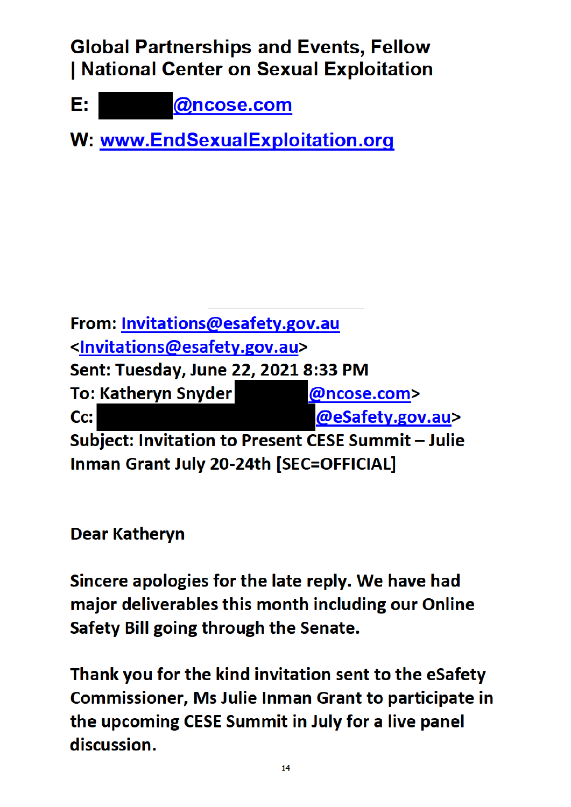# **Global Partnerships and Events, Fellow** | National Center on Sexual Exploitation

@ncose.com E:

W: www.EndSexualExploitation.org

From: Invitations@esafety.gov.au <Invitations@esafety.gov.au> Sent: Tuesday, June 22, 2021 8:33 PM To: Katheryn Snyder @ncose.com> @eSafety.gov.au> Cc: Subject: Invitation to Present CESE Summit - Julie Inman Grant July 20-24th [SEC=OFFICIAL]

**Dear Katheryn** 

Sincere apologies for the late reply. We have had major deliverables this month including our Online Safety Bill going through the Senate.

Thank you for the kind invitation sent to the eSafety **Commissioner, Ms Julie Inman Grant to participate in** the upcoming CESE Summit in July for a live panel discussion.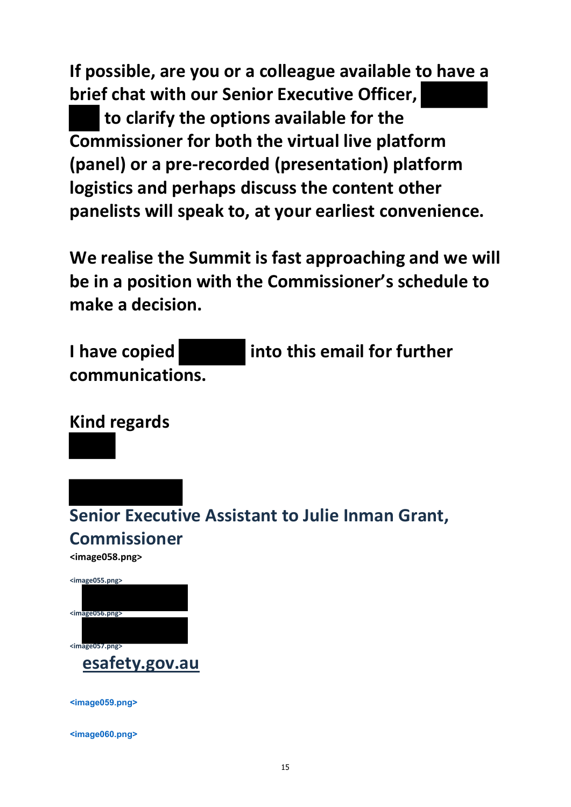**If possible, are you or a colleague available to have a brief chat with our Senior Executive Officer, to clarify the options available for the Commissioner for both the virtual live platform (panel) or a pre‐recorded (presentation) platform logistics and perhaps discuss the content other panelists will speak to, at your earliest convenience.**

**We realise the Summit is fast approaching and we will be in a position with the Commissioner's schedule to make a decision.**

**I have copied into this email for further communications.**

**Kind regards**

**Senior Executive Assistant to Julie Inman Grant, Commissioner**

**<image058.png>**

| <image055.png></image055.png> |
|-------------------------------|
|                               |
| $\leq$ image056.png>          |
|                               |
|                               |
| <image057.png></image057.png> |
| esafety.gov.au                |

**<image059.png>**

**<image060.png>**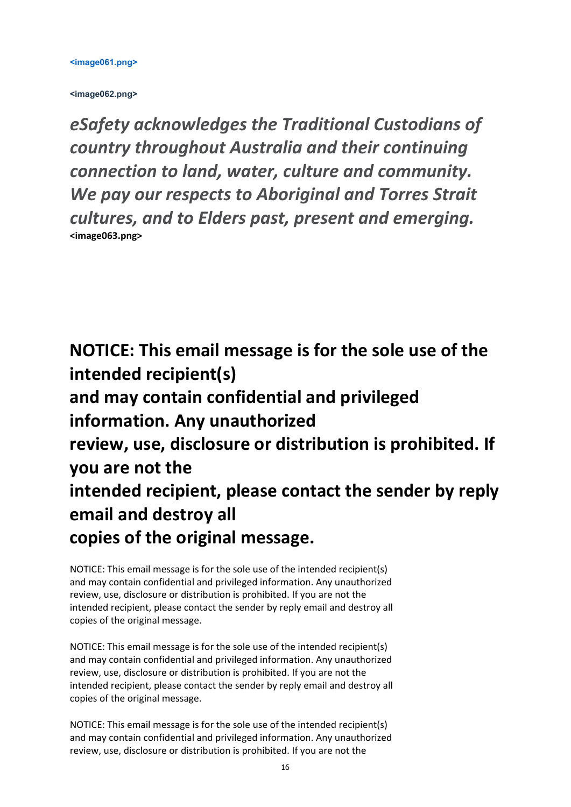**<image062.png>**

*eSafety acknowledges the Traditional Custodians of country throughout Australia and their continuing connection to land, water, culture and community. We pay our respects to Aboriginal and Torres Strait cultures, and to Elders past, present and emerging.* **<image063.png>**

**NOTICE: This email message is for the sole use of the intended recipient(s) and may contain confidential and privileged information. Any unauthorized review, use, disclosure or distribution is prohibited. If you are not the intended recipient, please contact the sender by reply email and destroy all copies of the original message.**

NOTICE: This email message is for the sole use of the intended recipient(s) and may contain confidential and privileged information. Any unauthorized review, use, disclosure or distribution is prohibited. If you are not the intended recipient, please contact the sender by reply email and destroy all copies of the original message.

NOTICE: This email message is for the sole use of the intended recipient(s) and may contain confidential and privileged information. Any unauthorized review, use, disclosure or distribution is prohibited. If you are not the intended recipient, please contact the sender by reply email and destroy all copies of the original message.

NOTICE: This email message is for the sole use of the intended recipient(s) and may contain confidential and privileged information. Any unauthorized review, use, disclosure or distribution is prohibited. If you are not the